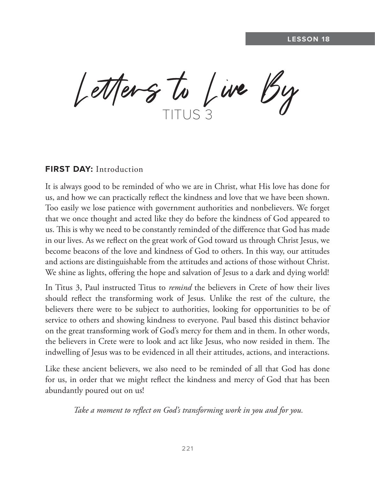Letters to Live By

### **FIRST DAY:** Introduction

It is always good to be reminded of who we are in Christ, what His love has done for us, and how we can practically reflect the kindness and love that we have been shown. Too easily we lose patience with government authorities and nonbelievers. We forget that we once thought and acted like they do before the kindness of God appeared to us. This is why we need to be constantly reminded of the difference that God has made in our lives. As we reflect on the great work of God toward us through Christ Jesus, we become beacons of the love and kindness of God to others. In this way, our attitudes and actions are distinguishable from the attitudes and actions of those without Christ. We shine as lights, offering the hope and salvation of Jesus to a dark and dying world!

In Titus 3, Paul instructed Titus to *remind* the believers in Crete of how their lives should reflect the transforming work of Jesus. Unlike the rest of the culture, the believers there were to be subject to authorities, looking for opportunities to be of service to others and showing kindness to everyone. Paul based this distinct behavior on the great transforming work of God's mercy for them and in them. In other words, the believers in Crete were to look and act like Jesus, who now resided in them. The indwelling of Jesus was to be evidenced in all their attitudes, actions, and interactions.

Like these ancient believers, we also need to be reminded of all that God has done for us, in order that we might reflect the kindness and mercy of God that has been abundantly poured out on us!

 *Take a moment to reflect on God's transforming work in you and for you.*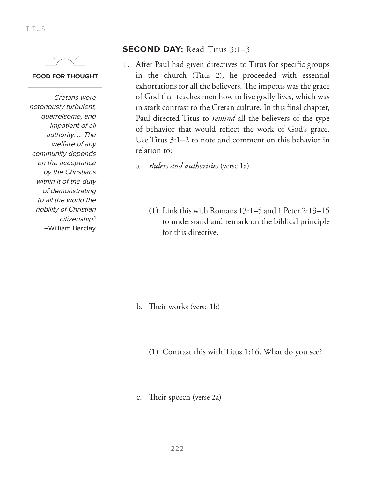

#### **FOOD FOR THOUGHT**

Cretans were notoriously turbulent, quarrelsome, and impatient of all authority. ... The welfare of any community depends on the acceptance by the Christians within it of the duty of demonstrating to all the world the nobility of Christian citizenship.<sup>1</sup> –William Barclay

## **SECOND DAY:** Read Titus 3:1–3

1. After Paul had given directives to Titus for specific groups in the church (Titus 2), he proceeded with essential exhortations for all the believers. The impetus was the grace of God that teaches men how to live godly lives, which was in stark contrast to the Cretan culture. In this final chapter, Paul directed Titus to *remind* all the believers of the type of behavior that would reflect the work of God's grace. Use Titus 3:1–2 to note and comment on this behavior in relation to:

a. *Rulers and authorities* (verse 1a)

(1) Link this with Romans 13:1–5 and 1 Peter 2:13–15 to understand and remark on the biblical principle for this directive.

- b. Their works (verse 1b)
	- (1) Contrast this with Titus 1:16. What do you see?
- c. Their speech (verse 2a)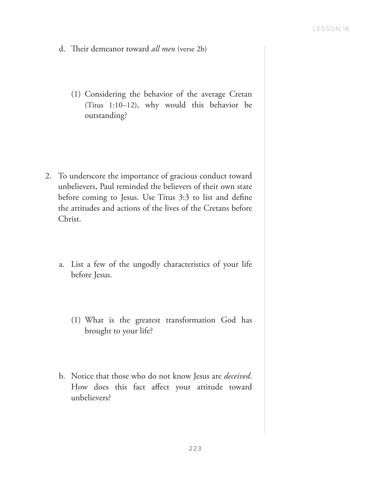- d. Their demeanor toward *all men* (verse 2b)
	- (1) Considering the behavior of the average Cretan (Titus 1:10–12), why would this behavior be outstanding?

- 2. To underscore the importance of gracious conduct toward unbelievers, Paul reminded the believers of their own state before coming to Jesus. Use Titus 3:3 to list and define the attitudes and actions of the lives of the Cretans before Christ.
	- a. List a few of the ungodly characteristics of your life before Jesus.
		- (1) What is the greatest transformation God has brought to your life?
	- b. Notice that those who do not know Jesus are *deceived*. How does this fact affect your attitude toward unbelievers?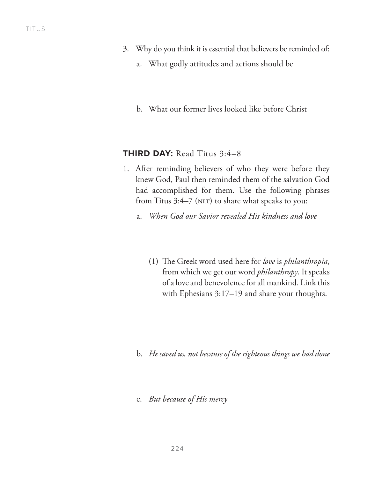- 3. Why do you think it is essential that believers be reminded of:
	- a. What godly attitudes and actions should be
	- b. What our former lives looked like before Christ

### **THIRD DAY:** Read Titus 3:4–8

- 1. After reminding believers of who they were before they knew God, Paul then reminded them of the salvation God had accomplished for them. Use the following phrases from Titus  $3:4-7$  (NLT) to share what speaks to you:
	- a. *When God our Savior revealed His kindness and love*
		- (1) The Greek word used here for *love* is *philanthropia*, from which we get our word *philanthropy*. It speaks of a love and benevolence for all mankind. Link this with Ephesians 3:17–19 and share your thoughts.

- b. *He saved us, not because of the righteous things we had done*
- c. *But because of His mercy*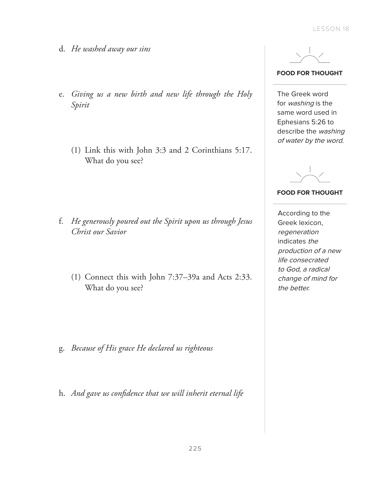- d. *He washed away our sins*
- e. *Giving us a new birth and new life through the Holy Spirit* 
	- (1) Link this with John 3:3 and 2 Corinthians 5:17. What do you see?

- f. *He generously poured out the Spirit upon us through Jesus Christ our Savior*
	- (1) Connect this with John 7:37–39a and Acts 2:33. What do you see?

- g. *Because of His grace He declared us righteous*
- h. *And gave us confidence that we will inherit eternal life*



**FOOD FOR THOUGHT**

The Greek word for washing is the same word used in Ephesians 5:26 to describe the washing of water by the word.



#### **FOOD FOR THOUGHT**

According to the Greek lexicon, regeneration indicates the production of a new life consecrated to God, a radical change of mind for the better.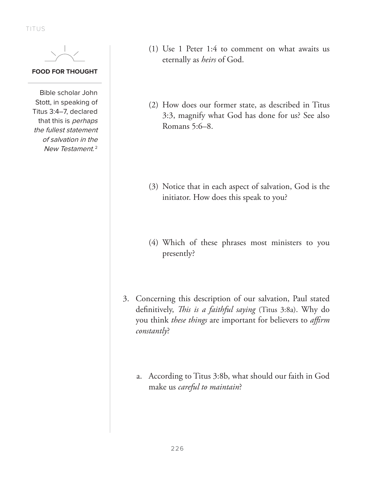TITUS



#### **FOOD FOR THOUGHT**

Bible scholar John Stott, in speaking of Titus 3:4–7, declared that this is perhaps the fullest statement of salvation in the New Testament.<sup>2</sup>

- (1) Use 1 Peter 1:4 to comment on what awaits us eternally as *heirs* of God.
- (2) How does our former state, as described in Titus 3:3, magnify what God has done for us? See also Romans 5:6–8.

- (3) Notice that in each aspect of salvation, God is the initiator. How does this speak to you?
- (4) Which of these phrases most ministers to you presently?
- 3. Concerning this description of our salvation, Paul stated definitively, *This is a faithful saying* (Titus 3:8a). Why do you think *these things* are important for believers to *affirm constantly*?
	- a. According to Titus 3:8b, what should our faith in God make us *careful to maintain*?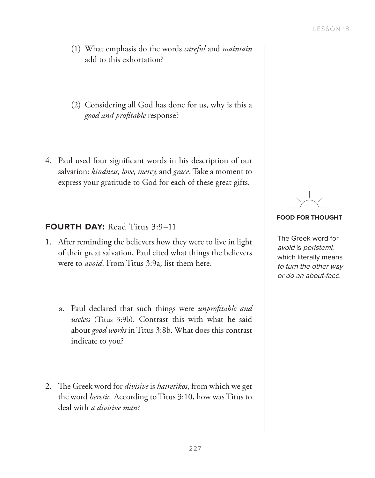- (1) What emphasis do the words *careful* and *maintain* add to this exhortation?
- (2) Considering all God has done for us, why is this a *good and profitable* response?
- 4. Paul used four significant words in his description of our salvation: *kindness, love, mercy,* and *grace*. Take a moment to express your gratitude to God for each of these great gifts.

## **FOURTH DAY:** Read Titus 3:9–11

- 1. After reminding the believers how they were to live in light of their great salvation, Paul cited what things the believers were to *avoid*. From Titus 3:9a, list them here.
	- a. Paul declared that such things were *unprofitable and useless* (Titus 3:9b). Contrast this with what he said about *good works* in Titus 3:8b. What does this contrast indicate to you?
- 2. The Greek word for *divisive* is *hairetikos*, from which we get the word *heretic*. According to Titus 3:10, how was Titus to deal with *a divisive man*?

#### **FOOD FOR THOUGHT**

The Greek word for avoid is peristemi, which literally means to turn the other way or do an about-face.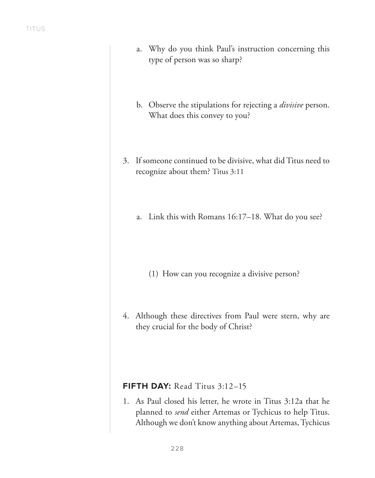- a. Why do you think Paul's instruction concerning this type of person was so sharp?
- b. Observe the stipulations for rejecting a *divisive* person. What does this convey to you?
- 3. If someone continued to be divisive, what did Titus need to recognize about them? Titus 3:11
	- a. Link this with Romans 16:17–18. What do you see?
		- (1) How can you recognize a divisive person?
- 4. Although these directives from Paul were stern, why are they crucial for the body of Christ?

# **FIFTH DAY:** Read Titus 3:12–15

1. As Paul closed his letter, he wrote in Titus 3:12a that he planned to *send* either Artemas or Tychicus to help Titus. Although we don't know anything about Artemas, Tychicus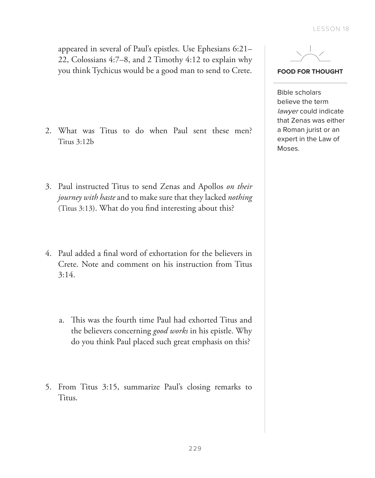appeared in several of Paul's epistles. Use Ephesians 6:21– 22, Colossians 4:7–8, and 2 Timothy 4:12 to explain why you think Tychicus would be a good man to send to Crete.

- 2. What was Titus to do when Paul sent these men? Titus 3:12b
- 3. Paul instructed Titus to send Zenas and Apollos *on their journey with haste* and to make sure that they lacked *nothing* (Titus 3:13). What do you find interesting about this?
- 4. Paul added a final word of exhortation for the believers in Crete. Note and comment on his instruction from Titus 3:14.
	- a. This was the fourth time Paul had exhorted Titus and the believers concerning *good works* in his epistle. Why do you think Paul placed such great emphasis on this?
- 5. From Titus 3:15, summarize Paul's closing remarks to Titus.



**FOOD FOR THOUGHT**

Bible scholars believe the term lawyer could indicate that Zenas was either a Roman jurist or an expert in the Law of Moses.